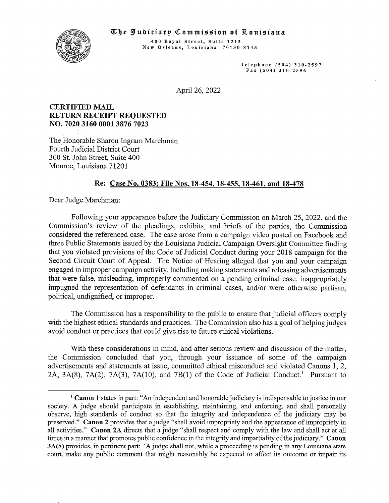#### **The Judiciary Commission of Louisiana**



400 Royal Street, Suite 1213 New Orleans, Louisiana 70130-8145

> Telephone (504) 310-2597 Fax (5 04) 310-2 596

April 26, 2022

## CERTIFIED MAIL RETURN RECEIPT REQUESTED N0. 7020 3160 0001 3876 7023

The Honorable Sharon Ingram Marchman Fourth Judicial District Court 300 St. John Street, Suite 400 Monroe, Louisiana 71201

### Re: Case No. 0383; File Nos. 18-454, 18-455, 18-461, and 18-478

Dear Judge Marchman:

Following your appearance before the Judiciary Commission on March 25, 2022, and the Commission's review of the pleadings, exhibits, and briefs of the parties, the Commission considered the referenced case. The case arose from a campaign video posted on Facebook and three Public Statements issued by the Louisiana Judicial Campaign Oversight Committee finding that you violated provisions of the Code of Judicial Conduct during your 2018 campaign for the Second Circuit Court of Appeal. The Notice of Hearing alleged that you and your campaign engaged in improper campaign activity, including making statements and releasing advertisements that were false, misleading, improperly commented on a pending criminal case, inappropriately impugned the representation of defendants in criminal cases, and/or were otherwise partisan, political, undignified, or improper.

The Commission has a responsibility to the public to ensure that judicial officers comply with the highest ethical standards and practices. The Commission also has a goal of helping judges avoid conduct or practices that could give rise to future ethical violations.

With these considerations in mind, and after serious review and discussion of the matter, the Commission concluded that you, through your issuance of some of the campaign advertisements and statements at issue, committed ethical misconduct and violated Canons 1, 2, 2A, 3A(8), 7A(2), 7A(3), 7A(10), and 7B(1) of the Code of Judicial Conduct.<sup>1</sup> Pursuant to

<sup>&</sup>lt;sup>1</sup> Canon 1 states in part: "An independent and honorable judiciary is indispensable to justice in our society. A judge should participate in establishing, maintaining, and enforcing, and shall personally observe, high standards of conduct so that the integrity and independence of the judiciary may be preserved." Canon 2 provides that a judge "shall avoid impropriety and the appearance of impropriety in all activities." Canon 2A directs that a judge "shall respect and comply with the law and shall act at all times in a manner that promotes public confidence in the integrity and impartiality of the judiciary." Canon 3A(8) provides, in pertinent part: "A judge shall not, while a proceeding is pending in any Louisiana state court, make any public comment that might reasonably be expected to affect its outcome or impair its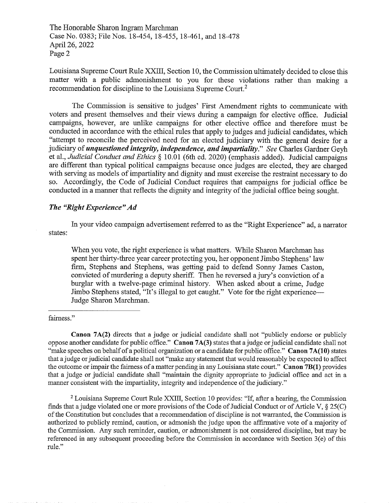Louisiana Supreme Court Rule XXIII, Section 10, the Commission ultimately decided to close this matter with a public admonishment to you for these violations rather than making a recommendation for discipline to the Louisiana Supreme Court.2

The Commission is sensitive to judges' First Amendment rights to communicate with voters and present themselves and their views during a campaign for elective office. Judicial campaigns, however, are unlike campaigns for other elective office and therefore must be conducted in accordance with the ethical rules that apply to judges and judicial candidates, which "attempt to reconcile the perceived need for an elected judiciary with the general desire for a judiciary of *unquestioned integrity, independence, and impartiality.*" See Charles Gardner Geyh et al., Judicial Conduct and Ethics § 10.01 (6th ed. 2020) (emphasis added). Judicial campaigns are different than typical political campaigns because once judges are elected, they are charged with serving as models of impartiality and dignity and must exercise the restraint necessary to do so. Accordingly, the Code of Judicial Conduct requires that campaigns for judicial office be conducted in a manner that reflects the dignity and integrity of the judicial office being sought.

# The "Right Experience" Ad

In your video campaign advertisement referred to as the "Right Experience" ad, a narrator states:

When you vote, the right experience is what matters. While Sharon Marchman has spent her thirty-three year career protecting you, her opponent Jimbo Stephens' law firm, Stephens and Stephens, was getting paid to defend Sonny James Caston, convicted of murdering a deputy sheriff. Then he reversed a jury's conviction of a burglar with a twelve-page criminal history. When asked about a crime, Judge Jimbo Stephens stated, "It's illegal to get caught." Vote for the right experience-Judge Sharon Marchman.

fairness."

Canon 7A(2) directs that a judge or judicial candidate shall not "publicly endorse or publicly oppose another candidate for public office." Canon 7A(3) states that a judge or judicial candidate shall not "make speeches on behalf of a political organization or a candidate for public office." Canon 7A(10) states that a judge or judicial candidate shall not "make any statement that would reasonably be expected to affect the outcome or impair the fairness of a matter pending in any Louisiana state court." Canon 7B(1) provides that a judge or judicial candidate shall "maintain the dignity appropriate to judicial office and act in a manner consistent with the impartiality, integrity and independence of the judiciary."

 $2$  Louisiana Supreme Court Rule XXIII, Section 10 provides: "If, after a hearing, the Commission finds that a judge violated one or more provisions of the Code of Judicial Conduct or of Article V,  $\S 25(C)$ of the Constitution but concludes that a recommendation of discipline is not wananted, the Commission is authorized to publicly remind, caution, or admonish the judge upon the affirmative vote of a majority of the Commission. Any such reminder, caution, or admonishment is not considered discipline, but may be referenced in any subsequent proceeding before the Commission in accordance with Section 3(e) of this rule."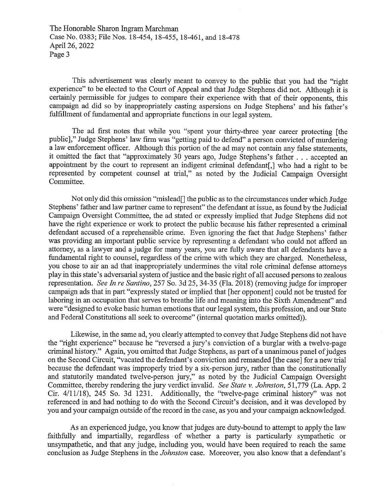This advertisement was clearly meant to convey to the public that you had the "right experience" to be elected to the Court of Appeal and that Judge Stephens did not. Although it is certainly permissible for judges to compare their experience with that of their opponents, this campaign ad did so by inappropriately casting aspersions on Judge Stephens' and his father's fulfillment of fundamental and appropriate functions in our legal system.

The ad first notes that while you "spent your thirty-three year career protecting [the public]," Judge Stephens' law firm was "getting paid to defend" a person convicted of murdering a law enforcement officer. Although this portion of the ad may not contain any false statements, it omitted the fact that "approximately 30 years ago, Judge Stephens's father. . . accepted an appointment by the court to represent an indigent criminal defendant[,] who had a right to be represented by competent counsel at trial," as noted by the Judicial Campaign Oversight Committee

Not only did this omission "mislead[] the public as to the circumstances under which Judge Stephens' father and law partner came to represent" the defendant at issue, as found by the Judicial Campaign Oversight Committee, the ad stated or expressly implied that Judge Stephens did not have the right experience or work to protect the public because his father represented a criminal defendant accused of a reprehensible crime. Even ignoring the fact that Judge Stephens' father was providing an important public service by representing a defendant who could not afford an attorney, as a lawyer and a judge for many years, you are fully aware that all defendants have a fundamental right to counsel, regardless of the crime with which they are charged. Nonetheless, you chose to air an ad that inappropriately undermines the vital role criminal defense attomeys play in this state's adversarial system of justice and the basic right of all accused persons to zealous representation. See In re Santino, 257 So. 3d 25, 34-35 (Fla. 2018) (removing judge for improper campaign ads that in part "expressly stated or implied that [her opponent] could not be trusted for laboring in an occupation that serves to breathe life and meaning into the Sixth Amendment" and were "designed to evoke basic human emotions that our legal system, this profession, and our State and Federal Constitutions all seek to overcome" (internal quotation marks omitted)).

Likewise, in the same ad, you clearly attempted to convey that Judge Stephens did not have the "right experience" because he "reversed a jury's conviction of a burglar with a twelve-page criminal history." Again, you omitted that Judge Stephens, as part of a unanimous panel of judges on the Second Circuit, "vacated the defendant's conviction and remanded [the case] for a new trial because the defendant was improperly tried by a six-person jury, rather than the constitutionally and statutorily mandated twelve-person jury," as noted by the Judicial Campaign Oversight Committee, thereby rendering the jury verdict invalid. See State v. Johnston, 51,779 (La. App. 2) Cir. 4/11/18), 245 So. 3d 1231. Additionally, the "twelve-page criminal history" was not referenced in and had nothing to do with the Second Circuit's decision, and it was developed by you and your campaign outside of the record in the case, as you and your campaign acknowledged.

As an experienced judge, you know that judges are duty-bound to attempt to apply the law faithfully and impartially, regardless of whether a party is particularly sympathetic or unsympathetic, and that any judge, including you, would have been required to reach the same conclusion as Judge Stephens in the Johnston case. Moreover, you also know that a defendant's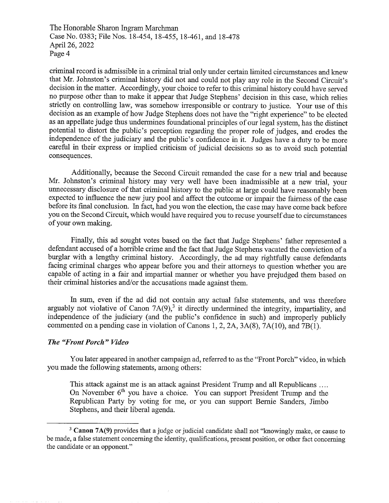criminal record is admissible in a criminal trial only under certain limited circumstances and knew that Mr. Johnston's criminal history did not and could not play any role in the Second Circuit's decision in the matter. Accordingly, your choice to refer to this criminal history could have served no purpose other than to make it appear that Judge Stephens' decision in this case, which relies strictly on controlling law, was somehow irresponsible or contrary to justice. Your use of this decision as an example of how Judge Stephens does not have the "right experience" to be elected as an appellate judge thus undermines foundational principles of our legal system, has the distinct potential to distort the public's perception regarding the proper role of judges, and erodes the independence of the judiciary and the public's confidence in it. Judges have a duty to be more carefiil in their express or implied criticism of judicial decisions so as to avoid such potential consequences.

Additionally, because the Second Circuit remanded the case for a new trial and because Mr. Johnston's criminal history may very well have been inadmissible at a new trial, your unnecessary disclosure of that criminal history to the public at large could have reasonably been expected to influence the new jury pool and affect the outcome or impair the fairness of the case before its final conclusion. In fact, had you won the election, the case may have come back before you on the Second Circuit, which would have required you to recuse yourself due to circumstances of your own making.

Finally, this ad sought votes based on the fact that Judge Stephens' father represented a defendant accused of a horrible crime and the fact that Judge Stephens vacated the conviction of a burglar with a lengthy criminal history. Accordingly, the ad may rightfully cause defendants facing criminal charges who appear before you and their attorneys to question whether you are capable of acting in a fair and impartial manner or whether you have prejudged them based on their criminal histories and/or the accusations made against them.

In sum, even if the ad did not contain any actual false statements, and was therefore arguably not violative of Canon  $7A(9)$ ,<sup>3</sup> it directly undermined the integrity, impartiality, and independence of the judiciary (and the public's confidence in such) and improperly publicly commented on a pending case in violation of Canons 1, 2, 2A, 3A(8), 7A(10), and 7B(1).

## The "Front Porch" Video

You later appeared in another campaign ad, referred to as the "Front Porch" video, in which you made the following statements, among others:

This attack against me is an attack against President Trump and all Republicans .... On November 6'h you have a choice. You can support President Trump and the Republican Party by voting for me, or you can support Bernie Sanders, Jimbo Stephens, and their liberal agenda.

<sup>&</sup>lt;sup>3</sup> Canon 7A(9) provides that a judge or judicial candidate shall not "knowingly make, or cause to be made, a false statement concerning the identity, qualifications, present position, or other fact concerning the candidate or an opponent."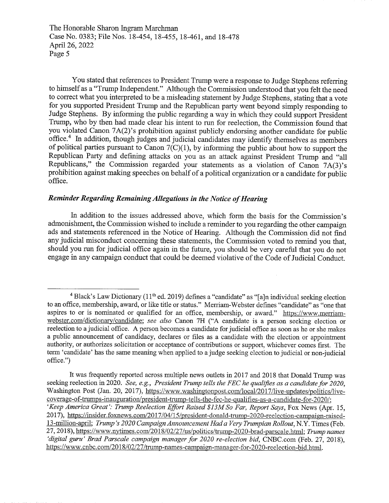You stated that references to President Trump were a response to Judge Stephens referring to himself as a "Trump Independent." Although the Commission understood that you felt the need to correct what you interpreted to be a misleading statement by Judge Stephens, stating that a vote for you supported President Trump and the Republican party went beyond simply responding to Judge Stephens. By informing the public regarding a way in which they could support President Trump, who by then had made clear his intent to run for reelection, the Commission found that you violated Canon 7A(2)'s prohibition against publicly endorsing another candidate for public  $office.<sup>4</sup>$  In addition, though judges and judicial candidates may identify themselves as members of political parties pursuant to Canon  $7(C)(1)$ , by informing the public about how to support the Republican Party and defining attacks on you as an attack against President Trump and "all Republicans," the Commission regarded your statements as a violation of Canon 7A(3)'s prohibition against making speeches on behalf of a political organization or a candidate for public office.

## Reminder Regarding RemainingAllegations in the Notice of Hearing

In addition to the issues addressed above, which form the basis for the Commission's admonishment, the Commission wished to include a reminder to you regarding the other campaign ads and statements referenced in the Notice of Hearing. Although the Commission did not find any judicial misconduct conceming these statements, the Commission voted to remind you that, should you run for judicial office again in the future, you should be very careful that you do not engage in any campaign conduct that could be deemed violative of the Code of Judicial Conduct.

It was frequently reported across multiple news outlets in 2017 and 2018 that Donald Trump was seeking reelection in 2020. See, e.g., President Trump tells the FEC he qualifies as a candidate for 2020, Washington Post (Jan. 20, 2017), https://www.washingtonpost.com/local/2017/live-updates/politics/livecoverage-of-trumps-inauguration/president-trump-tells-the-fec-he-qualifies-as-a-candidate-for-2020/; 'Keep America Great': Trump Reelection Effort Raised \$13M So Far, Report Says, Fox News (Apr. 15, 2017), https://insider.foxnews.com/2017/04/15/president-donald-trump-2020-reelection-campaign-raised-13-million-april; Trump's 2020 Campaign Announcement Had a Very Trumpian Rollout, N.Y. Times (Feb. 27, 2018), https://www.nytimes.com/2018/02/27/us/politics/trump-2020-brad-parscale.html; Trump names 'digital guru' Brad Parscale campaign manager for 2020 re-election bid, CNBC.com (Feb. 27, 2018), https://www.cnbc.corn/2018/02/27/trump-names-campaign-manager-for-2020-reelection-bid.html.

 $4$  Black's Law Dictionary (11<sup>th</sup> ed. 2019) defines a "candidate" as "[a]n individual seeking election to an office, membership, award, or like title or status." Merriam-Webster defines "candidate" as "one that aspires to or is nominated or qualified for an office, membership, or award." https://www.merriamwebster.com/dictionary/candidate; see also Canon 7H ("A candidate is a person seeking election or reelection to a judicial office. A person becomes a candidate for judicial office as soon as he or she makes a public announcement of candidacy, declares or files as a candidate with the election or appointment authority, or authorizes solicitation or acceptance of contributions or support, whichever comes first. The term 'candidate' has the same meaning when applied to a judge seeking election to judicial or non-judicial office.")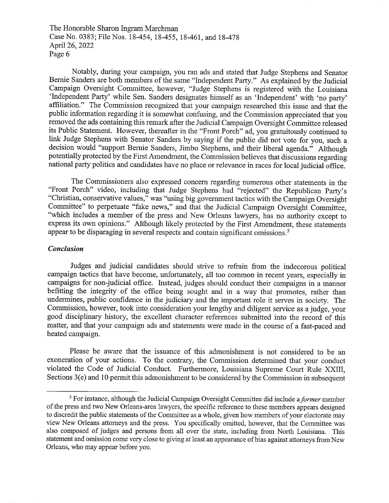Notably, during your campaign, you ran ads and stated that Judge Stephens and Senator Bernie Sanders are both members of the same "Independent Party." As explained by the Judicial Campaign Oversight Committee, however, "Judge Stephens is registered with the Louisiana 'Independent Party' while Sen. Sanders designates himself as an 'Independent' with 'no party' affiliation." The Commission recognized that your campaign researched this issue and that the public information regarding it is somewhat confiising, and the Commission appreciated that you removed the ads containing this remark after the Judicial Campaign Oversight Committee released its Public Statement. However, thereafter in the "Front Porch" ad, you gratuitously continued to link Judge Stephens with Senator Sanders by saying if the public did not vote for you, such a decision would "support Bernie Sanders, Jimbo Stephens, and their liberal agenda." Although potentially protected by the First Amendment, the Commission believes that discussions regarding national party politics and candidates have no place or relevance in races for local judicial office.

The Commissioners also expressed concern regarding numerous other statements in the "Front Porch" video, including that Judge Stephens had "rejected" the Republican Party's "Christian, conservative values," was "using big government tactics with the Campaign Oversight Committee" to perpetuate "fake news," and that the Judicial Campaign Oversight Committee, "which includes a member of the press and New Orleans lawyers, has no authority except to express its own opinions." Although likely protected by the First Amendment, these statements appear to be disparaging in several respects and contain significant omissions.<sup>5</sup>

## Conclusion

Judges and judicial candidates should strive to refrain from the indecorous political campaign tactics that have become, unfortunately, all too common in recent years, especially in campaigns for non-judicial office. Instead, judges should conduct their campaigns in a manner befitting the integrity of the office being sought and in a way that promotes, rather than undermines, public confidence in the judiciary and the important role it serves in society. The Commission, however, took into consideration your lengthy and diligent service as a judge, your good disciplinary history, the excellent character references submitted into the record of this matter, and that your campaign ads and statements were made in the course of a fast-paced and heated campaign.

Please be aware that the issuance of this admonishment is not considered to be an exoneration of your actions. To the contrary, the Commission determined that your conduct violated the Code of Judicial Conduct. Furthermore, Louisiana Supreme Court Rule XXIII, Sections 3(e) and 10 permit this admonishment to be considered by the Commission in subsequent

 $5$  For instance, although the Judicial Campaign Oversight Committee did include a *former* member of the press and two New Orleans-area lawyers, the specific reference to these members appears designed to discredit the public statements of the Committee as a whole, given how members of your electorate may view New Orleans attorneys and the press. You specifically omitted, however, that the Committee was also composed of judges and persons from all over the state, including from North Louisiana. This statement and omission come very close to giving at least an appearance of bias against attorneys from New Orleans, who may appear before you.